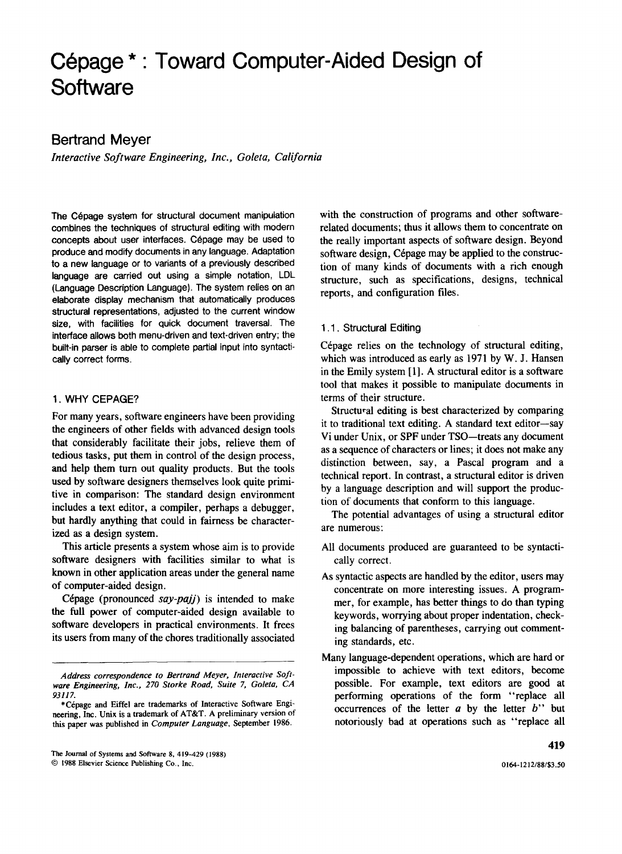# **Cepage \* . Toward Computer-Aided Design of Software**

## **Bertrand Meyer**

*Interactive Software Engineering, Inc., Goleta, California* 

The Cépage system for structural document manipulation combines the techniques of structural editing with modern concepts about user interfaces. Cépage may be used to produce and modify documents in any language. Adaptation to a new language or to variants of a previously described language are carried out using a simple notation, LDL (Language Description Language). The system relies on an elaborate display mechanism that automatically produces structural representations, adjusted to the current window size, with facilities for quick document traversal. The interface allows both menu-driven and text-driven entry; the built-in parser is able to complete partial input into syntactically correct forms.

## 1. WHY CEPAGE?

For many years, software engineers have been providing the engineers of other fields with advanced design tools that considerably facilitate their jobs, relieve them of tedious tasks, put them in control of the design process, and help them turn out quality products. But the tools used by software designers themselves look quite primitive in comparison: The standard design environment includes a text editor, a compiler, perhaps a debugger, but hardly anything that could in fairness be characterized as a design system.

This article presents a system whose aim is to provide software designers with facilities similar to what is known in other application areas under the general name of computer-aided design.

Cépage (pronounced *say-pajj*) is intended to make the full power of computer-aided design available to software developers in practical environments. It frees its users from many of the chores traditionally associated

The Journal of Systems and Software 8, 419-429 (1988)

© 1988 Elsevier Science Publishing Co., Inc.

with the construction of programs and other softwarerelated documents; thus it allows them to concentrate on the really important aspects of software design. Beyond software design, Cépage may be applied to the construction of many kinds of documents with a rich enough structure, such as specifications, designs, technical reports, and configuration files.

## 1.1. Structural Editing

Cépage relies on the technology of structural editing, which was introduced as early as 1971 by W. J. Hansen in the Emily system [1]. A structural editor is a software tool that makes it possible to manipulate documents in terms of their structure.

Structural editing is best characterized by comparing it to traditional text editing. A standard text editor-say Vi under Unix, or SPF under TSO-treats any document as a sequence of characters or lines; it does not make any distinction between, say, a Pascal program and a technical report. In contrast, a structural editor is driven by a language description and will support the production of documents that conform to this language.

The potential advantages of using a structural editor are numerous:

- All documents produced are guaranteed to be syntactically correct.
- As syntactic aspects are handled by the editor, users may concentrate on more interesting issues. A programmer, for example, has better things to do than typing keywords, worrying about proper indentation, checking balancing of parentheses, carrying out commenting standards, etc.
- Many language-dependent operations, which are hard or impossible to achieve with text editors, become possible. For example, text editors are good at performing operations of the form "replace all occurrences of the letter *a* by the letter *b"* but notoriously bad at operations such as "replace all

*Address correspondence to Bertrand Meyer, Interactive Software Engineering, Inc., 270 Storke Road, Suite* 7, *Goleta, CA*  93117.

<sup>\*</sup>Cepage and Eiffel are trademarks of Interactive Software Engineering, Inc. Unix is a trademark of AT&T. A preliminary version of this paper was published in *Computer Language,* September 1986.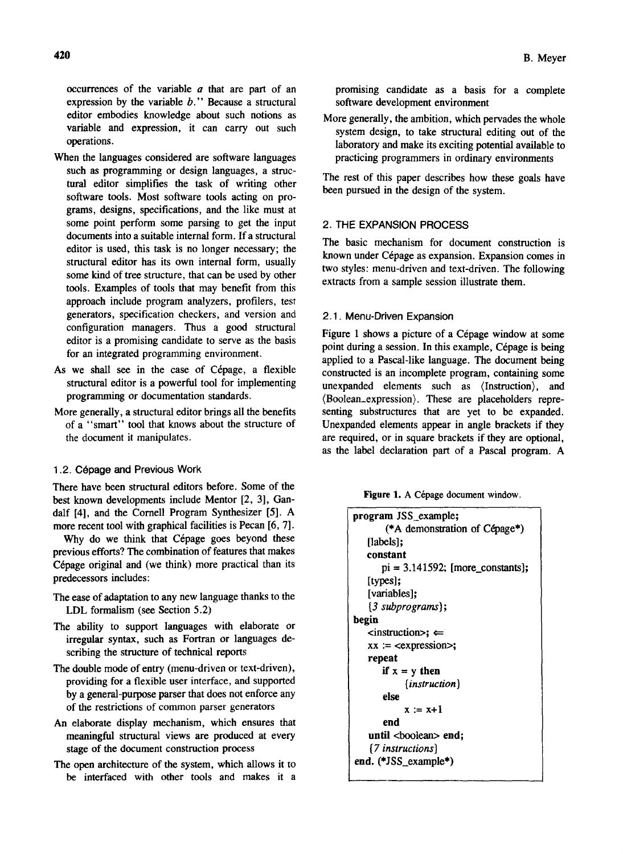occurrences of the variable *a* that are part of an expression by the variable *b."* Because a structural editor embodies knowledge about such notions as variable and expression, it can carry out such operations.

- When the languages considered are software languages such as programming or design languages, a structural editor simplifies the task of writing other software tools. Most software tools acting on programs, designs, specifications, and the like must at some point perform some parsing to get the input documents into a suitable internal form. If a structural editor is used, this task is no longer necessary; the structural editor has its own internal form, usually some kind of tree structure, that can be used by other tools. Examples of tools that may benefit from this approach include program analyzers, profilers, test generators, specification checkers, and version and configuration managers. Thus a good structural editor is a promising candidate to serve as the basis for an integrated programming environment.
- As we shall see in the case of Cépage, a flexible structural editor is a powerful tool for implementing programming or documentation standards.
- More generally, a structural editor brings all the benefits of a "smart" tool that knows about the structure of the document it manipulates.

## 1.2. Cépage and Previous Work

There have been structural editors before. Some of the best known developments include Mentor [2, 3], Gandalf [4], and the Cornell Program Synthesizer [5]. A more recent tool with graphical facilities is Pecan [6, 7].

Why do we think that Cépage goes beyond these previous efforts? The combination of features that makes Cépage original and (we think) more practical than its predecessors includes:

- The ease of adaptation to any new language thanks to the LDL formalism (see Section 5.2)
- The ability to support languages with elaborate or irregular syntax, such as Fortran or languages describing the structure of technical reports
- The double mode of entry (menu-driven or text-driven), providing for a flexible user interface, and supported by a general-purpose parser that does not enforce any of the restrictions of common parser generators
- An elaborate display mechanism, which ensures that meaningful structural views are produced at every stage of the document construction process
- The open architecture of the system, which allows it to be interfaced with other tools and makes it a

promising candidate as a basis for a complete software development environment

More generally, the ambition, which pervades the whole system design, to take structural editing out of the laboratory and make its exciting potential available to practicing programmers in ordinary environments

The rest of this paper describes how these goals have been pursued in the design of the system.

## 2. THE EXPANSION PROCESS

The basic mechanism for document construction is known under Cépage as expansion. Expansion comes in two styles: menu-driven and text-driven. The following extracts from a sample session illustrate them.

## 2.1. Menu-Driven Expansion

Figure 1 shows a picture of a Cépage window at some point during a session. In this example, Cépage is being applied to a Pascal-like language. The document being constructed is an incomplete program, containing some unexpanded elements such as (Instruction), and (Boolean\_expression). These are placeholders representing substructures that are yet to be expanded. Unexpanded elements appear in angle brackets if they are required, or in square brackets if they are optional, as the label declaration part of a Pascal program. A

Figure 1. A Cépage document window.

| program JSS_example;                           |
|------------------------------------------------|
| (*A demonstration of Cépage*)                  |
| [labels]:                                      |
| constant                                       |
| $pi = 3.141592$ ; [more_constants];            |
| [types];                                       |
| [variables];                                   |
| $\{3 \text{ subprograms}\};$                   |
| begin                                          |
| $\langle$ instruction $\rangle$ ; $\Leftarrow$ |
| $xx := \langle expression \rangle;$            |
| repeat                                         |
| if $x = y$ then                                |
| $\{instructor\}$                               |
| else                                           |
| $x := x+1$                                     |
| end                                            |
| until <boolean> end;</boolean>                 |
| $\{7$ instructions $\}$                        |
| end. (*JSS_example*)                           |
|                                                |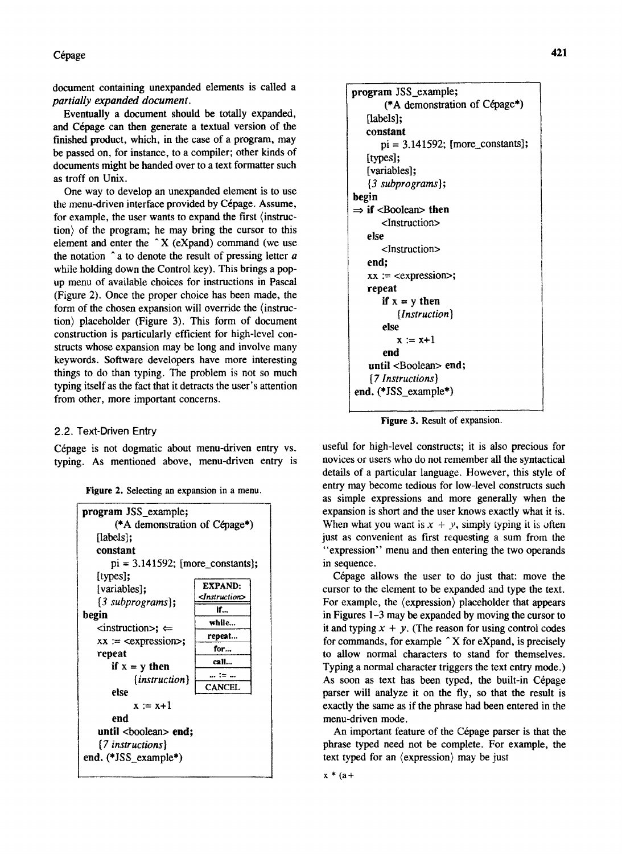Cépage

document containing unexpanded elements is called a *partially expanded document.* 

Eventually a document should be totally expanded, and Cépage can then generate a textual version of the finished product, which, in the case of a program, may be passed on, for instance, to a compiler; other kinds of documents might be handed over to a text formatter such as troff on Unix.

One way to develop an unexpanded element is to use the menu-driven interface provided by Cépage. Assume, for example, the user wants to expand the first (instruction) of the program; he may bring the cursor to this element and enter the  $\hat{X}$  (eXpand) command (we use the notation ~ a to denote the result of pressing letter *a*  while holding down the Control key). This brings a popup menu of available choices for instructions in Pascal (Figure 2). Once the proper choice has been made, the form of the chosen expansion will override the (instruction) placeholder (Figure 3). This form of document construction is particularly efficient for high-level constructs whose expansion may be long and involve many keywords. Software developers have more interesting things to do than typing. The problem is not so much typing itself as the fact that it detracts the user's attention from other, more important concerns.

## 2.2. Text-Driven Entry

Cépage is not dogmatic about menu-driven entry vs. typing. As mentioned above, menu-driven entry is

Figure 2. Selecting an expansion in a menu.



```
program JSS_example; 
       (* A demonstration of Cepage*) 
   [labels]; 
   constant 
       pi = 3.141592; [more_constants];
   [types]:
   [variables];
   {3 subprograms}; 
begin 
\Rightarrow if <Boolean> then
       <Instruction> 
   else 
       <Instruction> 
   end; 
   xx := \text{expression}repeat 
       if x = y then
           {Instruction} 
       else 
          x := x+1end 
   until <Boolean> end;
    {7 Instructions} 
end. (*JSS_example*)
```
Figure 3. Result of expansion.

useful for high-level constructs; it is also precious for novices or users who do not remember all the syntactical details of a particular language. However, this style of entry may become tedious for low-level constructs such as simple expressions and more generally when the expansion is short and the user knows exactly what it is. When what you want is  $x + y$ , simply typing it is often just as convenient as first requesting a sum from the "expression" menu and then entering the two operands in sequence.

Cépage allows the user to do just that: move the cursor to the element to be expanded and type the text. For example, the (expression) placeholder that appears in Figures 1-3 may be expanded by moving the cursor to it and typing  $x + y$ . (The reason for using control codes for commands, for example  $\hat{A}$  X for eXpand, is precisely to allow normal characters to stand for themselves. Typing a normal character triggers the text entry mode.) As soon as text has been typed, the built-in Cépage parser will analyze it on the fly, so that the result is exactly the same as if the phrase had been entered in the menu-driven mode.

An important feature of the Cépage parser is that the phrase typed need not be complete. For example, the text typed for an (expression) may be just

```
x * (a +
```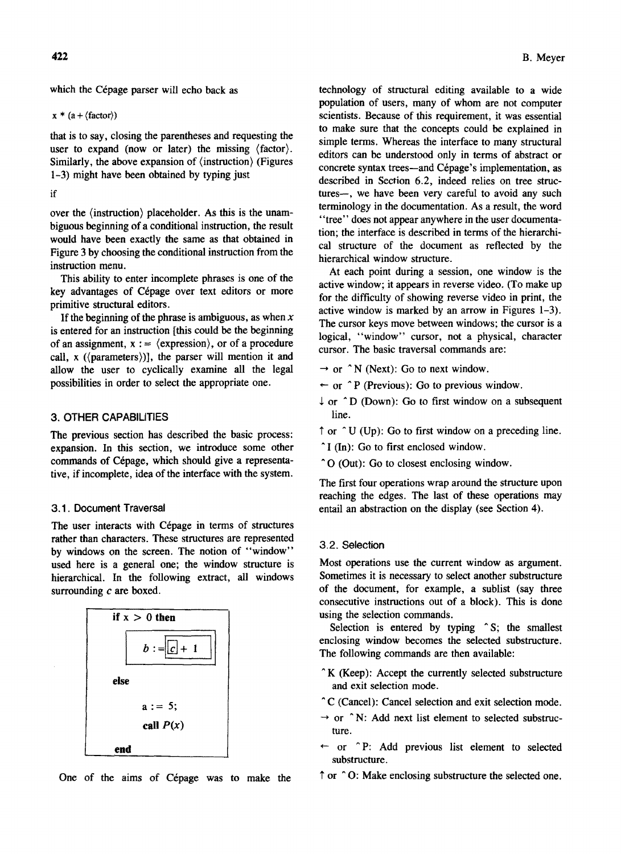which the Cépage parser will echo back as

 $x * (a + \langle factor \rangle)$ 

that is to say, closing the parentheses and requesting the user to expand (now or later) the missing  $\langle factor \rangle$ . Similarly, the above expansion of  $\langle$  instruction $\rangle$  (Figures 1-3) might have been obtained by typing just

if

over the (instruction) placeholder. As this is the unambiguous beginning of a conditional instruction, the result would have been exactly the same as that obtained in Figure 3 by choosing the conditional instruction from the instruction menu.

This ability to enter incomplete phrases is one of the key advantages of Cépage over text editors or more primitive structural editors.

If the beginning of the phrase is ambiguous, as when  $x$ is entered for an instruction [this could be the beginning of an assignment,  $x := \langle$  expression $\rangle$ , or of a procedure call,  $x$  ( $\langle$  parameters $\rangle$ )], the parser will mention it and allow the user to cyclically examine all the legal possibilities in order to select the appropriate one.

## 3. OTHER CAPABILITIES

The previous section has described the basic process: expansion. In this section, we introduce some other commands of Cepage, which should give a representative, if incomplete, idea of the interface with the system.

## 3.1. Document Traversal

The user interacts with Cépage in terms of structures rather than characters. These structures are represented by windows on the screen. The notion of "window" used here is a general one; the window structure is hierarchical. In the following extract, all windows surrounding *c* are boxed.



One of the aims of Cépage was to make the

technology of structural editing available to a wide population of users, many of whom are not computer scientists. Because of this requirement, it was essential to make sure that the concepts could be explained in simple terms. Whereas the interface to many structural editors can be understood only in terms of abstract or concrete syntax trees—and Cépage's implementation, as described in Section 6.2, indeed relies on tree structures-, we have been very careful to avoid any such terminology in the documentation. As a result, the word "tree" does not appear anywhere in the user documentation; the interface is described in terms of the hierarchical structure of the document as reflected by the hierarchical window structure.

At each point during a session, one window is the active window; it appears in reverse video. (To make up for the difficulty of showing reverse video in print, the active window is marked by an arrow in Figures 1-3). The cursor keys move between windows; the cursor is a logical, "window" cursor, not a physical, character cursor. The basic traversal commands are:

- $\rightarrow$  or  $\hat{N}$  (Next): Go to next window.
- $\leftarrow$  or  $\hat{P}$  (Previous): Go to previous window.
- $\downarrow$  or  $\hat{D}$  (Down): Go to first window on a subsequent line.
- $\uparrow$  or  $\uparrow$  U (Up): Go to first window on a preceding line.
- $\hat{I}$  (In): Go to first enclosed window.
- ^O (Out): Go to closest enclosing window.

The first four operations wrap around the structure upon reaching the edges. The last of these operations may entail an abstraction on the display (see Section 4).

## 3.2. Selection

Most operations use the current window as argument. Sometimes it is necessary to select another substructure of the document, for example, a sublist (say three consecutive instructions out of a block). This is done using the selection commands.

Selection is entered by typing ^S; the smallest enclosing window becomes the selected substructure. The following commands are then available:

- $K$  (Keep): Accept the currently selected substructure and exit selection mode.
- <sup>o</sup>C (Cancel): Cancel selection and exit selection mode.
- $\rightarrow$  or  $\hat{N}$ : Add next list element to selected substructure.
- $\leftarrow$  or  $\hat{P}$ : Add previous list element to selected substructure.
- $\uparrow$  or  $\uparrow$  O: Make enclosing substructure the selected one.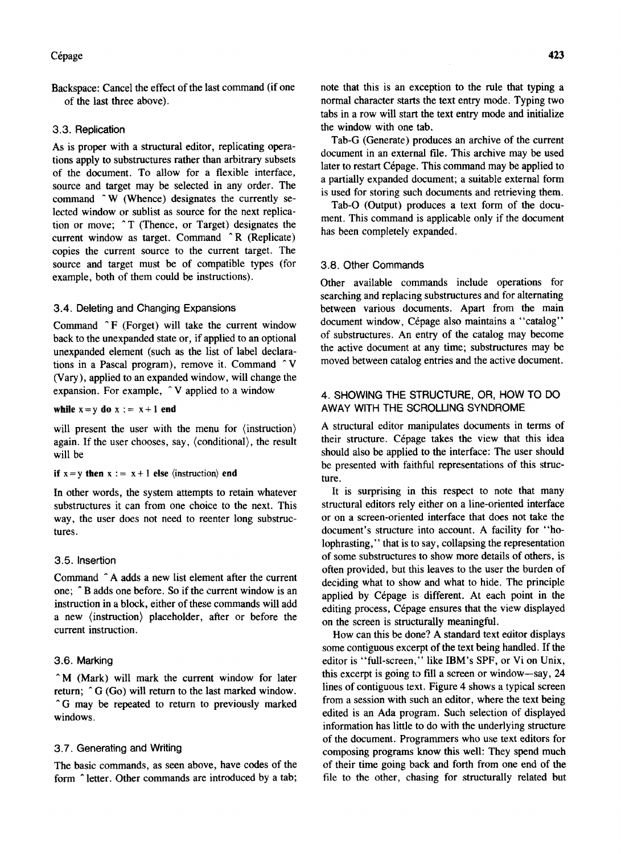Backspace: Cancel the effect of the last command (if one of the last three above).

#### 3.3. Replication

As is proper with a structural editor, replicating operations apply to substructures rather than arbitrary subsets of the document. To allow for a flexible interface, source and target may be selected in any order. The command ^W (Whence) designates the currently selected window or sublist as source for the next replication or move;  $\hat{T}$  (Thence, or Target) designates the current window as target. Command ^R (Replicate) copies the current source to the current target. The source and target must be of compatible types (for example, both of them could be instructions).

## 3.4. Deleting and Changing Expansions

Command  $\hat{F}$  (Forget) will take the current window back to the unexpanded state or, if applied to an optional unexpanded element (such as the list of label declarations in a Pascal program), remove it. Command ~ V (Vary), applied to an expanded window, will change the expansion. For example,  $\hat{V}$  applied to a window

while  $x = y$  do  $x := x + 1$  end

will present the user with the menu for (instruction) again. If the user chooses, say, (conditional), the result will be

#### if  $x = y$  then  $x := x + 1$  else (instruction) end

In other words, the system attempts to retain whatever substructures it can from one choice to the next. This way, the user does not need to reenter long substructures.

#### 3.5. Insertion

Command ^A adds a new list element after the current one;  $\hat{B}$  adds one before. So if the current window is an instruction in a block, either of these commands will add a new (instruction) placeholder, after or before the current instruction.

#### 3.6. Marking

 $\hat{M}$  (Mark) will mark the current window for later return;  $\hat{G}$  (Go) will return to the last marked window. <sup>o</sup>G may be repeated to return to previously marked windows.

#### 3.7. Generating and Writing

The basic commands, as seen above, have codes of the form  $\hat{ }$  letter. Other commands are introduced by a tab;

Tab-G (Generate) produces an archive of the current document in an external file. This archive may be used later to restart Cépage. This command may be applied to a partially expanded document; a suitable external form is used for storing such documents and retrieving them.

Tab-O (Output) produces a text form of the document. This command is applicable only if the document has been completely expanded.

#### 3.8. Other Commands

Other available commands include operations for searching and replacing substructures and for alternating between various documents. Apart from the main document window, Cépage also maintains a "catalog" of substructures. An entry of the catalog may become the active document at any time; substructures may be moved between catalog entries and the active document.

## 4. SHOWING THE STRUCTURE, OR, HOW TO DO AWAY WITH THE SCROLUNG SYNDROME

A structural editor manipulates documents in terms of their structure. Cépage takes the view that this idea should also be applied to the interface: The user should be presented with faithful representations of this structure.

It is surprising in this respect to note that many structural editors rely either on a line-oriented interface or on a screen-oriented interface that does not take the document's structure into account. A facility for "holophrasting," that is to say, collapsing the representation of some substructures to show more details of others, is often provided, but this leaves to the user the burden of deciding what to show and what to hide. The principle applied by Cépage is different. At each point in the editing process, Cépage ensures that the view displayed on the screen is structurally meaningful.

How can this be done? A standard text editor displays some contiguous excerpt of the text being handled. If the editor is "full-screen," like IBM's SPF, or Vi on Unix, this excerpt is going to fill a screen or window-say, 24 lines of contiguous text. Figure 4 shows a typical screen from a session with such an editor, where the text being edited is an Ada program. Such selection of displayed information has little to do with the underlying structure of the document. Programmers who use text editors for composing programs know this well: They spend much of their time going back and forth from one end of the file to the other, chasing for structurally related but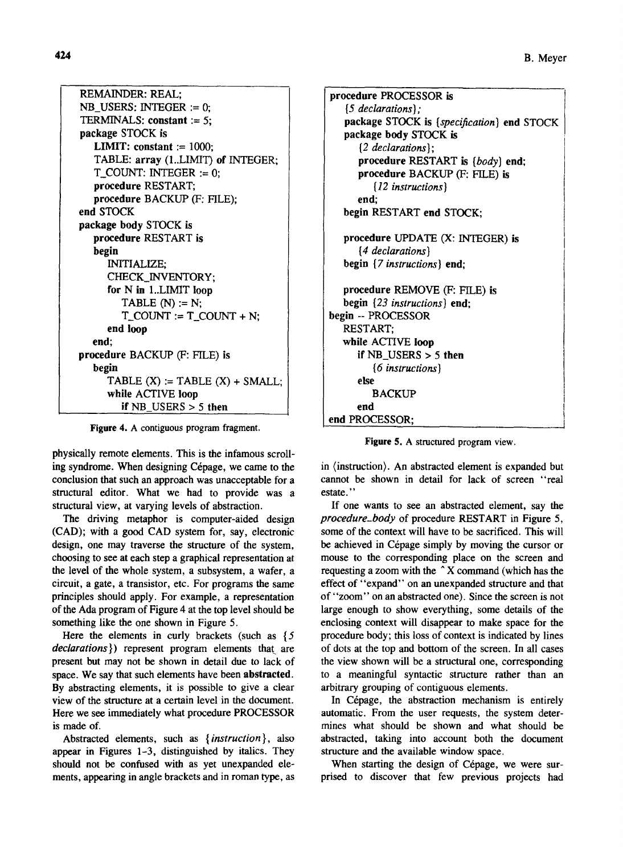| REMAINDER: REAL:                           |
|--------------------------------------------|
| $NB_$ USERS: INTEGER := 0;                 |
| TERMINALS: constant := 5;                  |
| package STOCK is                           |
| <b>LIMIT:</b> constant := $1000$ ;         |
| TABLE: array (1LIMIT) of INTEGER;          |
| $T_{\text{C}}$ COUNT: INTEGER := 0;        |
| procedure RESTART;                         |
| procedure BACKUP (F: FILE);                |
| end STOCK                                  |
| package body STOCK is                      |
| procedure RESTART is                       |
| begin                                      |
| <b>INITIALIZE;</b>                         |
| CHECK_INVENTORY;                           |
| for N in 1LIMIT loop                       |
| TABLE $(N) := N$ ;                         |
| $T_{c}$ COUNT := T <sub>1</sub> COUNT + N; |
| end loop                                   |
| end:                                       |
| procedure BACKUP (F: FILE) is              |
| begin                                      |
| TABLE $(X) := TABLE(X) + SMALL;$           |
| while ACTIVE loop                          |
| if $NB$ USERS $> 5$ then                   |

Figure 4. A contiguous program fragment.

physically remote elements. This is the infamous scrolling syndrome. When designing Cépage, we came to the conclusion that such an approach was unacceptable for a structural editor. What we had to provide was a structural view, at varying levels of abstraction.

The driving metaphor is computer-aided design (CAD); with a good CAD system for, say, electronic design, one may traverse the structure of the system, choosing to see at each step a graphical representation at the level of the whole system, a subsystem, a wafer, a circuit, a gate, a transistor, etc. For programs the same principles should apply. For example, a representation of the Ada program of Figure 4 at the top level should be something like the one shown in Figure 5.

Here the elements in curly brackets (such as  $\{5\}$ *declarations})* represent program elements that are present but may not be shown in detail due to lack of space. We say that such elements have been abstracted. By abstracting elements, it is possible to give a clear view of the structure at a certain level in the document. Here we see immediately what procedure PROCESSOR is made of.

Abstracted elements, such as *{instruction},* also appear in Figures 1-3, distinguished by italics. They should not be confused with as yet unexpanded elements, appearing in angle brackets and in roman type, as

procedure PROCESSOR is {5 *declarations);*  package STOCK is *{specification)* end STOCK package body STOCK is {2 *declarations);*  procedure RESTART is *{body)* end; procedure BACKUP (F: FILE) is {12 *instructions)*  end; begin RESTART end STOCK; procedure UPDATE (X: INTEGER) is {4 *declarations)*  begin {7 *instructions)* end; procedure REMOVE (F: FILE) is begin {23 *instructions)* end; begin -- PROCESSOR RESTART; while ACTIVE loop if NB\_USERS > 5 then {6 *ins true tions* ) else **BACKUP** end end PROCESSOR;

Figure 5. A structured program view.

in (instruction). An abstracted element is expanded but cannot be shown in detail for lack of screen "real estate. "

If one wants to see an abstracted element, say the *procedure\_body* of procedure RESTART in Figure 5, some of the context will have to be sacrificed. This will be achieved in Cépage simply by moving the cursor or mouse to the corresponding place on the screen and requesting a zoom with the ~ X command (which has the effect of "expand" on an unexpanded structure and that of "zoom" on an abstracted one). Since the screen is not large enough to show everything, some details of the enclosing context will disappear to make space for the procedure body; this loss of context is indicated by lines of dots at the top and bottom of the screen. In all cases the view shown will be a structural one, corresponding to a meaningful syntactic structure rather than an arbitrary grouping of contiguous elements.

In Cépage, the abstraction mechanism is entirely automatic. From the user requests, the system determines what should be shown and what should be abstracted, taking into account both the document structure and the available window space.

When starting the design of Cépage, we were surprised to discover that few previous projects had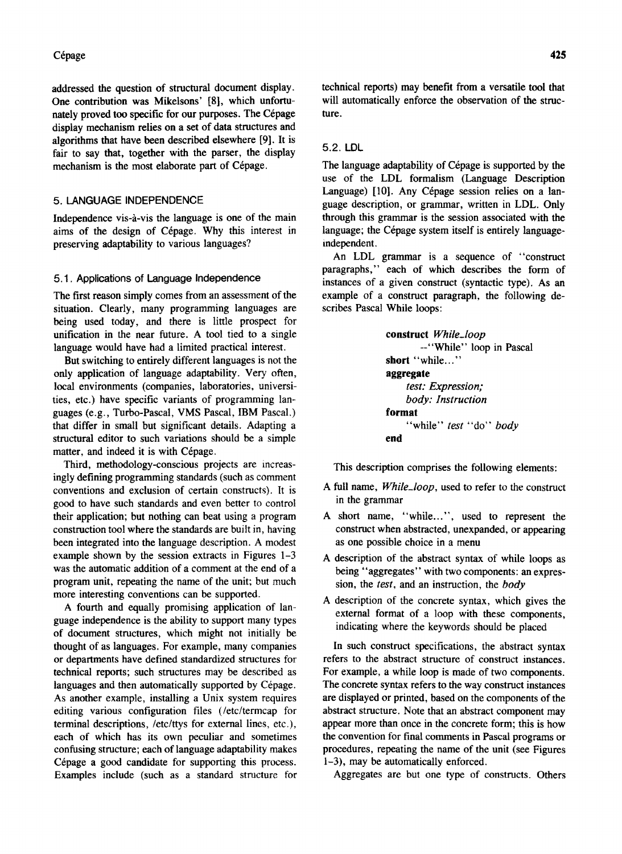## Cépage

addressed the question of structural document display. One contribution was Mikelsons' [8}, which unfortunately proved too specific for our purposes. The Cépage display mechanism relies on a set of data structures and algorithms that have been described elsewhere [9]. It is fair to say that, together with the parser, the display mechanism is the most elaborate part of Cépage.

## 5. LANGUAGE INDEPENDENCE

Independence vis-a-vis the language is one of the main aims of the design of Cepage. Why this interest in preserving adaptability to various languages?

#### 5.1. Applications of Language Independence

The first reason simply comes from an assessment of the situation. Clearly, many programming languages are being used today, and there is little prospect for unification in the near future. A tool tied to a single language would have had a limited practical interest.

But switching to entirely different languages is not the only application of language adaptability. Very often, local environments (companies, laboratories, universities, etc.) have specific variants of programming languages (e.g., Turbo-Pascal, VMS Pascal, IBM Pascal.) that differ in small but significant details. Adapting a structural editor to such variations should be a simple matter, and indeed it is with Cépage.

Third, methodology-conscious projects are increasingly defining programming standards (such as comment conventions and exclusion of certain constructs). It is good to have such standards and even better to control their application; but nothing can beat using a program construction tool where the standards are built in, having been integrated into the language description. A modest example shown by the session extracts in Figures 1-3 was the automatic addition of a comment at the end of a program unit, repeating the name of the unit; but much more interesting conventions can be supported.

A fourth and equally promising application of language independence is the ability to support many types of document structures, which might not initially be thought of as languages. For example, many companies or departments have defined standardized structures for technical reports; such structures may be described as languages and then automatically supported by Cépage. As another example, installing a Unix system requires editing various configuration files (/etc/termcap for terminal descriptions, /etc/ttys for external lines, etc.), each of which has its own peculiar and sometimes confusing structure; each of language adaptability makes Cépage a good candidate for supporting this process. Examples include (such as a standard structure for technical reports) may benefit from a versatile tool that will automatically enforce the observation of the structure.

#### 5.2. LDL

The language adaptability of Cépage is supported by the use of the LDL formalism (Language Description Language) [10]. Any Cépage session relies on a language description, or grammar, written in LDL. Only through this grammar is the session associated with the language; the Cépage system itself is entirely languageindependent.

An LDL grammar is a sequence of "construct paragraphs," each of which describes the form of instances of a given construct (syntactic type). As an example of a construct paragraph, the following describes Pascal While loops:

> construct *While\_loop*  --"While" loop in Pascal short "while..." aggregate *test: Expression; body: Instruction*  format "while" *test* "do" *body*  end

This description comprises the following elements:

- A full name, *While\_loop,* used to refer to the construct in the grammar
- A short name, "while...", used to represent the construct when abstracted, unexpanded, or appearing as one possible choice in a menu
- A description of the abstract syntax of while loops as being "aggregates" with two components: an expression, the *test,* and an instruction, the *body*
- A description of the concrete syntax, which gives the external format of a loop with these components, indicating where the keywords should be placed

In such construct specifications, the abstract syntax refers to the abstract structure of construct instances. For example, a while loop is made of two components. The concrete syntax refers to the way construct instances are displayed or printed, based on the components of the abstract structure. Note that an abstract component may appear more than once in the concrete form; this is how the convention for final comments in Pascal programs or procedures, repeating the name of the unit (see Figures 1-3), may be automatically enforced.

Aggregates are but one type of constructs. Others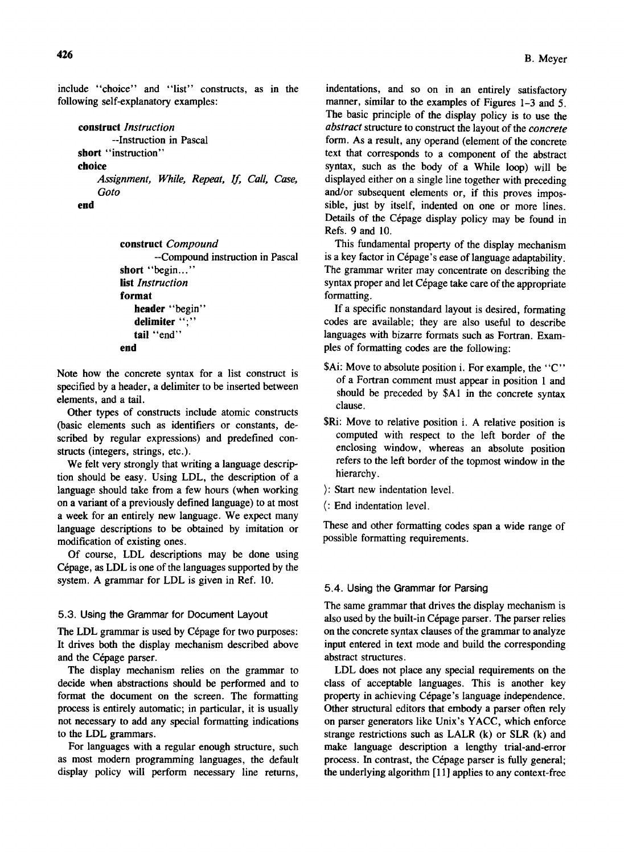include "choice" and "list" constructs, as in the following self-explanatory examples:

```
construct Instruction 
        --Instruction in Pascal 
short "instruction"
choice 
    Assignment, While, Repeat, If, Call, Case, 
    Goto
```
end

```
construct Compound 
       --Compound instruction in Pascal 
short "begin..."
list Instruction 
format 
   header "begin"
   delimiter ";"
   tail "end"
end
```
Note how the concrete syntax for a list construct is specified by a header, a delimiter to be inserted between elements, and a tail.

Other types of constructs include atomic constructs (basic elements such as identifiers or constants, described by regular expressions) and predefined constructs (integers, strings, etc.).

We felt very strongly that writing a language description should be easy. Using LDL, the description of a language should take from a few hours (when working on a variant of a previously defined language) to at most a week for an entirely new language. We expect many language descriptions to be obtained by imitation or modification of existing ones.

Of course, LDL descriptions may be done using Cépage, as LDL is one of the languages supported by the system. A grammar for LDL is given in Ref. 10.

## 5.3. Using the Grammar for Document Layout

The LDL grammar is used by Cépage for two purposes: It drives both the display mechanism described above and the Cépage parser.

The display mechanism relies on the grammar to decide when abstractions should be performed and to format the document on the screen. The formatting process is entirely automatic; in particular, it is usually not necessary to add any special formatting indications to the LDL grammars.

For languages with a regular enough structure, such as most modern programming languages, the default display policy will perform necessary line returns,

indentations, and so on in an entirely satisfactory manner, similar to the examples of Figures 1-3 and 5. The basic principle of the display policy is to use the *abstract* structure to construct the layout of the *concrete*  form. As a result, any operand (element of the concrete text that corresponds to a component of the abstract syntax, such as the body of a While loop) will be displayed either on a single line together with preceding and/or subsequent elements or, if this proves impossible, just by itself, indented on one or more lines. Details of the Cépage display policy may be found in Refs. 9 and 10.

This fundamental property of the display mechanism is a key factor in Cépage's ease of language adaptability. The grammar writer may concentrate on describing the syntax proper and let Cépage take care of the appropriate formatting.

If a specific nonstandard layout is desired, formating codes are available; they are also useful to describe languages with bizarre formats such as Fortran. Examples of formatting codes are the following:

- \$Ai: Move to absolute position i. For example, the "C" of a Fortran comment must appear in position I and should be preceded by \$AI in the concrete syntax clause.
- \$Ri: Move to relative position i. A relative position is computed with respect to the left border of the enclosing window, whereas an absolute position refers to the left border of the topmost window in the hierarchy.
- ): Start new indentation level.
- (: End indentation level.

These and other formatting codes span a wide range of possible formatting requirements.

## 5.4. Using the Grammar for Parsing

The same grammar that drives the display mechanism is also used by the built-in Cépage parser. The parser relies on the concrete syntax clauses of the grammar to analyze input entered in text mode and build the corresponding abstract structures.

LDL does not place any special requirements on the class of acceptable languages. This is another key property in achieving Cépage's language independence. Other structural editors that embody a parser often rely on parser generators like Unix's YACC, which enforce strange restrictions such as LALR  $(k)$  or SLR  $(k)$  and make language description a lengthy trial-and-error process. In contrast, the Cépage parser is fully general; the underlying algorithm [11] applies to any context-free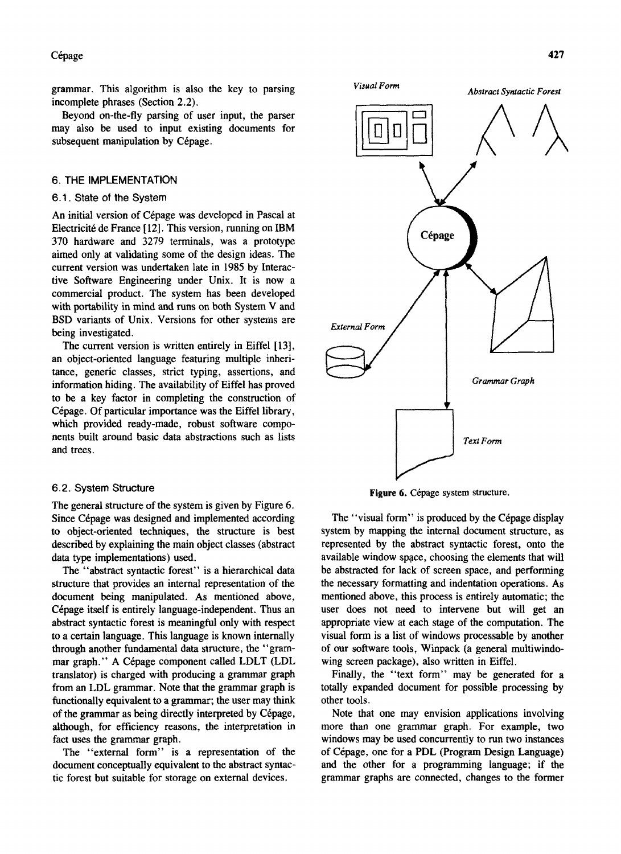Cépage

grammar. This algorithm is also the key to parsing incomplete phrases (Section 2.2).

Beyond on-the-fly parsing of user input, the parser may also be used to input existing documents for subsequent manipulation by Cépage.

## 6. **THE IMPLEMENTATION**

#### 6.1 . State of the System

An initial version of Cépage was developed in Pascal at Electricité de France [12]. This version, running on IBM 370 hardware and 3279 terminals, was a prototype aimed only at validating some of the design ideas. The current version was undertaken late in 1985 by Interactive Software Engineering under Unix. It is now a commercial product. The system has been developed with portability in mind and runs on both System V and BSD variants of Unix. Versions for other systems are being investigated.

The current version is written entirely in Eiffel [13], an object-oriented language featuring multiple inheritance, generic classes, strict typing, assertions, and information hiding. The availability of Eiffel has proved to be a key factor in completing the construction of Cépage. Of particular importance was the Eiffel library, which provided ready-made, robust software components built around basic data abstractions such as lists and trees.

#### 6.2. System Structure

The general structure of the system is given by Figure 6. Since Cépage was designed and implemented according to object-oriented techniques, the structure is best described by explaining the main object classes (abstract data type implementations) used.

The "abstract syntactic forest" is a hierarchical data structure that provides an internal representation of the document being manipulated. As mentioned above, Cépage itself is entirely language-independent. Thus an abstract syntactic forest is meaningful only with respect to a certain language. This language is known internally through another fundamental data structure, the "grammar graph." A Cepage component called LDLT (LDL translator) is charged with producing a grammar graph from an LDL grammar. Note that the grammar graph is functionally equivalent to a grammar; the user may think of the grammar as being directly interpreted by Cépage, although, for efficiency reasons, the interpretation in fact uses the grammar graph.

The "external form" is a representation of the document conceptually equivalent to the abstract syntactic forest but suitable for storage on external devices.



Figure 6. Cépage system structure.

The "visual form" is produced by the Cépage display system by mapping the internal document structure, as represented by the abstract syntactic forest, onto the available window space, choosing the elements that will be abstracted for lack of screen space, and performing the necessary formatting and indentation operations. As mentioned above, this process is entirely automatic; the user does not need to intervene but will get an appropriate view at each stage of the computation. The visual form is a list of windows processable by another of our software tools, Winpack (a general multiwindowing screen package), also written in Eiffel.

Finally, the "text form" may be generated for a totally expanded document for possible processing by other tools.

Note that one may envision applications involving more than one grammar graph. For example, two windows may be used concurrently to run two instances of Cepage, one for a PDL (Program Design Language) and the other for a programming language; if the grammar graphs are connected, changes to the former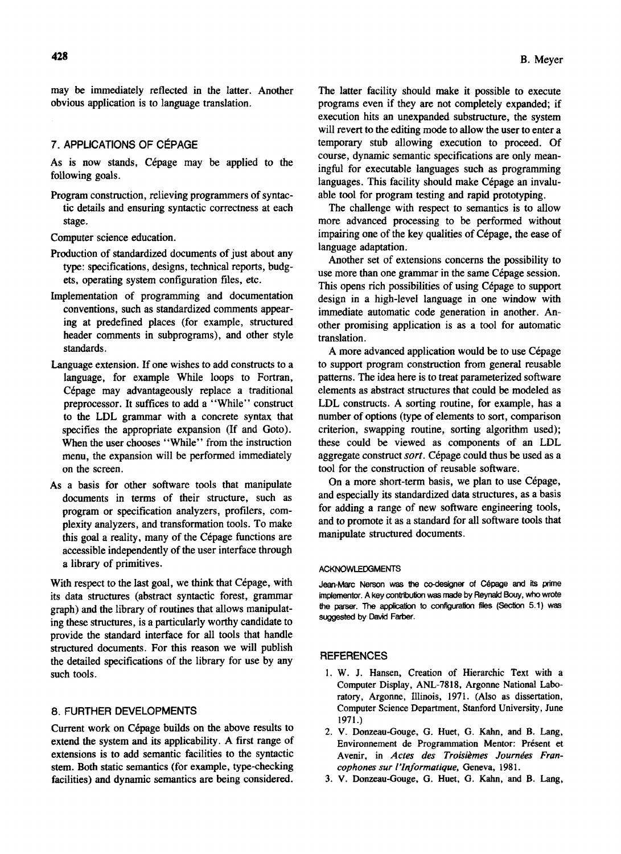may be immediately reflected in the latter. Another obvious application is to language translation.

## 7. APPUCATIONS OF CEPAGE

As is now stands, Cépage may be applied to the following goals.

Program construction, relieving programmers of syntactic details and ensuring syntactic correctness at each stage.

Computer science education.

- Production of standardized documents of just about any type: specifications, designs, technical reports, budgets, operating system configuration files, etc.
- Implementation of programming and documentation conventions, such as standardized comments appearing at predefined places (for example, structured header comments in subprograms), and other style standards.
- Language extension. If one wishes to add constructs to a language, for example While loops to Fortran, Cépage may advantageously replace a traditional preprocessor. It suffices to add a "While" construct to the LDL grammar with a concrete syntax that specifies the appropriate expansion (If and Goto). When the user chooses "While" from the instruction menu, the expansion will be performed immediately on the screen.
- As a basis for other software tools that manipulate documents in terms of their structure, such as program or specification analyzers, profilers, complexity analyzers, and transformation tools. To make this goal a reality, many of the Cépage functions are accessible independently of the user interface through a library of primitives.

With respect to the last goal, we think that Cépage, with its data structures (abstract syntactic forest, grammar graph) and the library of routines that allows manipulating these structures, is a particularly worthy candidate to provide the standard interface for all tools that handle structured documents. For this reason we will publish the detailed specifications of the library for use by any such tools.

## 8. FURTHER DEVELOPMENTS

Current work on Cépage builds on the above results to extend the system and its applicability. A first range of extensions is to add semantic facilities to the syntactic stem. Both static semantics (for example, type-checking facilities) and dynamic semantics are being considered. The latter facility should make it possible to execute programs even if they are not completely expanded; if execution hits an unexpanded substructure, the system will revert to the editing mode to allow the user to enter a temporary stub allowing execution to proceed. Of course, dynamic semantic specifications are only meaningful for executable languages such as programming languages. This facility should make Cépage an invaluable tool for program testing and rapid prototyping.

The challenge with respect to semantics is to allow more advanced processing to be performed without impairing one of the key qualities of Cépage, the ease of language adaptation.

Another set of extensions concerns the possibility to use more than one grammar in the same Cépage session. This opens rich possibilities of using Cépage to support design in a high-level language in one window with immediate automatic code generation in another. Another promising application is as a tool for automatic translation.

A more advanced application would be to use Cépage to support program construction from general reusable patterns. The idea here is to treat parameterized software elements as abstract structures that could be modeled as LDL constructs. A sorting routine, for example, has a number of options (type of elements to sort, comparison criterion, swapping routine, sorting algorithm used); these could be viewed as components of an LDL aggregate construct *sort*. Cépage could thus be used as a tool for the construction of reusable software.

On a more short-term basis, we plan to use Cépage, and especially its standardized data structures, as a basis for adding a range of new software engineering tools, and to promote it as a standard for all software tools that manipulate structured documents.

#### ACKNOWLEDGMENTS

Jean-Marc Nerson was the co-designer of Cépage and its prime implementor. A key contribution was made by Reynald Bouy, who wrote the parser. The application to configuration files (Section 5.1) was suggested by David Farber.

#### **REFERENCES**

- 1. W. J. Hansen, Creation of Hierarchic Text with a Computer Display, ANL-7818, Argonne National Laboratory, Argonne, Illinois, 1971. (Also as dissertation, Computer Science Department, Stanford University, June 1971.)
- 2. V. Donzeau-Gouge, G. Huet, G. Kahn, and B. Lang, Environnement de Programmation Mentor: Present et Avenir, in *Actes des Troisiemes Journees Francophones sur I'Injormatique,* Geneva, 1981.
- 3. V. Donzeau-Gouge, G. Huet, G. Kahn, and B. Lang,